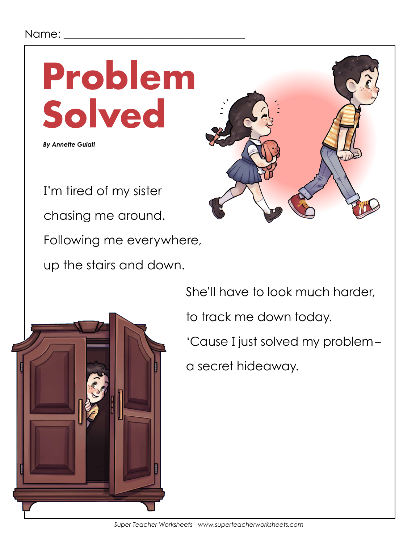### Name:



Following me everywhere,

up the stairs and down.



She'll have to look much harder,

to track me down today.

'Cause I just solved my problem-

a secret hideaway.

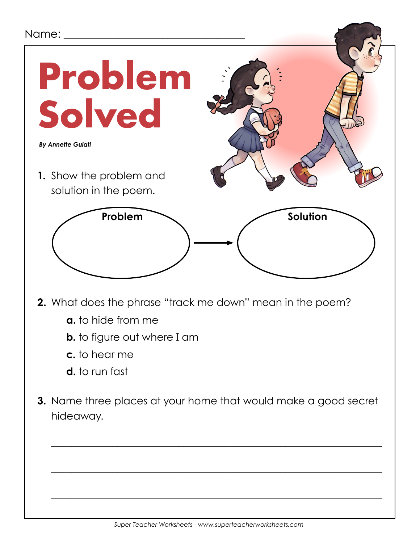### Name:

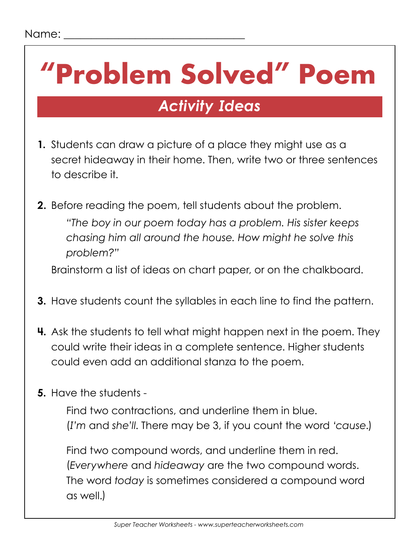# **"Problem Solved" Poem**

## *Activity Ideas*

- **1.** Students can draw a picture of a place they might use as a secret hideaway in their home. Then, write two or three sentences to describe it.
- **2.** Before reading the poem, tell students about the problem.  *"The boy in our poem today has a problem. His sister keeps chasing him all around the house. How might he solve this problem?"*

Brainstorm a list of ideas on chart paper, or on the chalkboard.

- **3.** Have students count the syllables in each line to find the pattern.
- **4.** Ask the students to tell what might happen next in the poem. They could write their ideas in a complete sentence. Higher students could even add an additional stanza to the poem.
- **5.** Have the students -

 Find two contractions, and underline them in blue. (*I'm* and *she'll*. There may be 3, if you count the word *'cause*.)

 Find two compound words, and underline them in red. (*Everywhere* and *hideaway* are the two compound words. The word *today* is sometimes considered a compound word as well.)